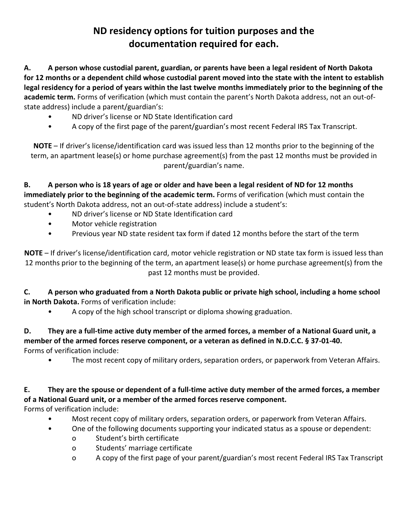## **ND residency options for tuition purposes and the documentation required for each.**

**A. A person whose custodial parent, guardian, or parents have been a legal resident of North Dakota for 12 months or a dependent child whose custodial parent moved into the state with the intent to establish legal residency for a period of years within the last twelve months immediately prior to the beginning of the academic term.** Forms of verification (which must contain the parent's North Dakota address, not an out-ofstate address) include a parent/guardian's:

- ND driver's license or ND State Identification card
- A copy of the first page of the parent/guardian's most recent Federal IRS Tax Transcript.

**NOTE** – If driver's license/identification card was issued less than 12 months prior to the beginning of the term, an apartment lease(s) or home purchase agreement(s) from the past 12 months must be provided in parent/guardian's name.

**B. A person who is 18 years of age or older and have been a legal resident of ND for 12 months immediately prior to the beginning of the academic term.** Forms of verification (which must contain the student's North Dakota address, not an out-of-state address) include a student's:

- ND driver's license or ND State Identification card
- Motor vehicle registration
- Previous year ND state resident tax form if dated 12 months before the start of the term

**NOTE** – If driver's license/identification card, motor vehicle registration or ND state tax form is issued less than 12 months prior to the beginning of the term, an apartment lease(s) or home purchase agreement(s) from the past 12 months must be provided.

**C. A person who graduated from a North Dakota public or private high school, including a home school in North Dakota.** Forms of verification include:

• A copy of the high school transcript or diploma showing graduation.

## **D. They are a full-time active duty member of the armed forces, a member of a National Guard unit, a member of the armed forces reserve component, or a veteran as defined in N.D.C.C. § 37-01-40.** Forms of verification include:

• The most recent copy of military orders, separation orders, or paperwork from Veteran Affairs.

## **E. They are the spouse or dependent of a full-time active duty member of the armed forces, a member of a National Guard unit, or a member of the armed forces reserve component.**

Forms of verification include:

- Most recent copy of military orders, separation orders, or paperwork from Veteran Affairs.
- One of the following documents supporting your indicated status as a spouse or dependent:
	- o Student's birth certificate
	- o Students' marriage certificate
	- o A copy of the first page of your parent/guardian's most recent Federal IRS Tax Transcript